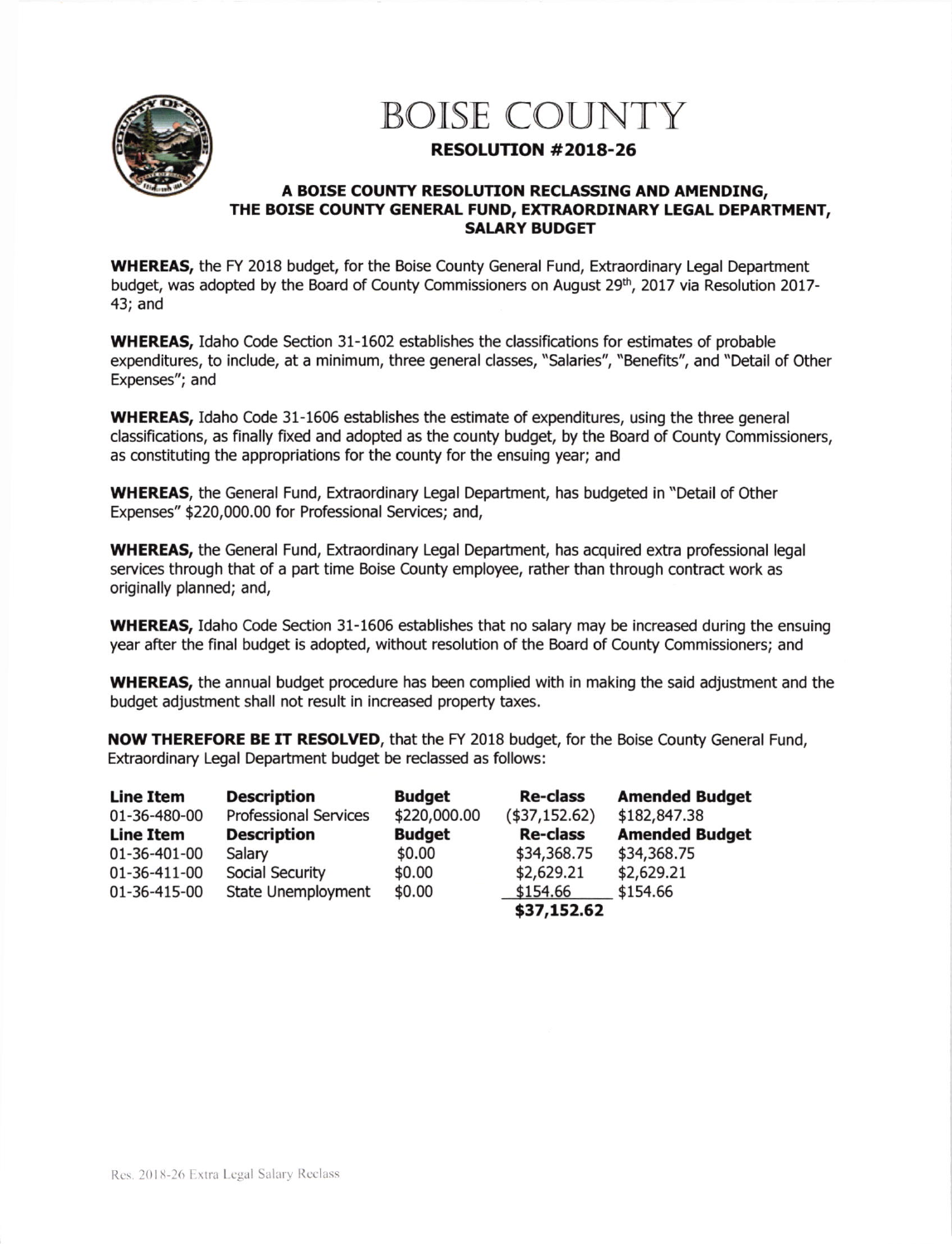

## BOISE COUNTY

## RESOLUTION #2018-26

## A BOISE COUNTY RESOLUTION RECLASSING AND AMENDING, THE BOISE COUNTY GENERAL FUND, EXTRAORDINARY LEGAL DEPARTMENT, SALARY BUDGET

WHEREAS, the FY 2018 budget, for the Boise County General Fund, Extraordinary Legal Department budget, was adopted by the Board of County Commissioners on August 29<sup>th</sup>, 2017 via Resolution 2017-43; and

WHEREAS, Idaho Code Section 31-1602 establishes the classifications for estimates of probable expenditures, to include, at a minimum, three general classes, "Salaries", "Benefits", and "Detail of Other Expenses"; and

WHEREAS, Idaho Code 31-1606 establishes the estimate of expenditures, using the three general classifications, as finally fixed and adopted as the county budget, by the Board of County Commissioners, as constituting the appropriations for the county for the ensuing year; and

WHEREAS, the General Fund, Extraordinary Legal Department, has budgeted in "Detail of Other Expenses" \$220,000.00 for Professional Services; and,

WHEREAS, the General Fund, Extraordinary Legal Department, has acquired extra professional legal services through that of a part time Boise County employee, rather than through contract work as originally planned; and,

WHEREAS, Idaho Code Section 31-1606 establishes that no salary may be increased during the ensuing year after the final budget is adopted, without resolution of the Board of County Commissioners; and

WHEREAS, the annual budget procedure has been complied with in making the said adjustment and the budget adjustment shall not result in increased property taxes.

NOW THEREFORE BE IT RESOLVED, that the FY 2018 budget, for the Boise County General Fund, Extraordinary Legal Department budget be reclassed as follows:

| <b>Line Item</b> | <b>Description</b>           | <b>Budget</b> | <b>Re-class</b> | <b>Amended Budget</b> |
|------------------|------------------------------|---------------|-----------------|-----------------------|
| 01-36-480-00     | <b>Professional Services</b> | \$220,000.00  | (\$37,152.62)   | \$182,847.38          |
| <b>Line Item</b> | <b>Description</b>           | <b>Budget</b> | <b>Re-class</b> | <b>Amended Budget</b> |
| 01-36-401-00     | Salary                       | \$0.00        | \$34,368.75     | \$34,368.75           |
| 01-36-411-00     | Social Security              | \$0.00        | \$2,629.21      | \$2,629.21            |
| 01-36-415-00     | <b>State Unemployment</b>    | \$0.00        | \$154.66        | \$154.66              |
|                  |                              |               | \$37,152.62     |                       |